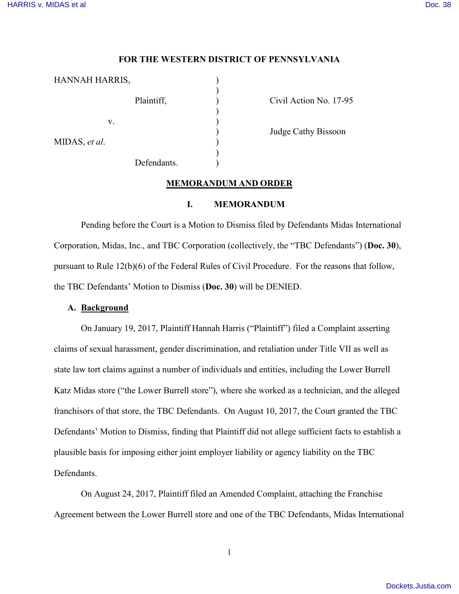### **FOR THE WESTERN DISTRICT OF PENNSYLVANIA**

| HANNAH HARRIS, |             |  |
|----------------|-------------|--|
|                | Plaintiff,  |  |
| V.             |             |  |
| MIDAS, et al.  |             |  |
|                | Defendants. |  |

Civil Action No. 17-95

) Judge Cathy Bissoon

### **MEMORANDUM AND ORDER**

#### **I. MEMORANDUM**

Pending before the Court is a Motion to Dismiss filed by Defendants Midas International Corporation, Midas, Inc., and TBC Corporation (collectively, the "TBC Defendants") (**Doc. 30**), pursuant to Rule 12(b)(6) of the Federal Rules of Civil Procedure. For the reasons that follow, the TBC Defendants' Motion to Dismiss (**Doc. 30**) will be DENIED.

### **A. Background**

On January 19, 2017, Plaintiff Hannah Harris ("Plaintiff") filed a Complaint asserting claims of sexual harassment, gender discrimination, and retaliation under Title VII as well as state law tort claims against a number of individuals and entities, including the Lower Burrell Katz Midas store ("the Lower Burrell store"), where she worked as a technician, and the alleged franchisors of that store, the TBC Defendants. On August 10, 2017, the Court granted the TBC Defendants' Motion to Dismiss, finding that Plaintiff did not allege sufficient facts to establish a plausible basis for imposing either joint employer liability or agency liability on the TBC Defendants.

On August 24, 2017, Plaintiff filed an Amended Complaint, attaching the Franchise Agreement between the Lower Burrell store and one of the TBC Defendants, Midas International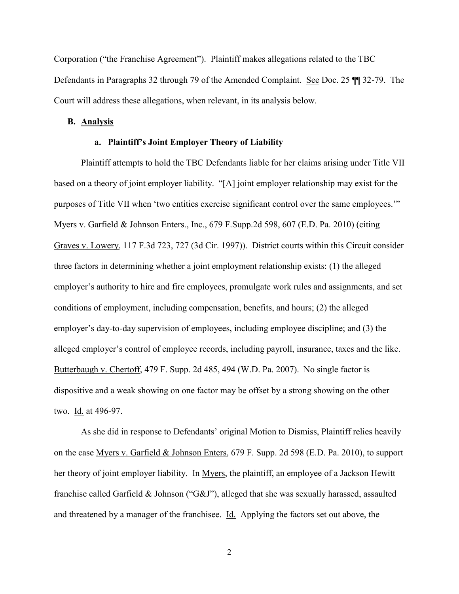Corporation ("the Franchise Agreement"). Plaintiff makes allegations related to the TBC Defendants in Paragraphs 32 through 79 of the Amended Complaint. See Doc. 25 ¶¶ 32-79. The Court will address these allegations, when relevant, in its analysis below.

### **B. Analysis**

# **a. Plaintiff's Joint Employer Theory of Liability**

Plaintiff attempts to hold the TBC Defendants liable for her claims arising under Title VII based on a theory of joint employer liability. "[A] joint employer relationship may exist for the purposes of Title VII when 'two entities exercise significant control over the same employees.'" Myers v. Garfield & Johnson Enters., Inc., 679 F.Supp.2d 598, 607 (E.D. Pa. 2010) (citing Graves v. Lowery, 117 F.3d 723, 727 (3d Cir. 1997)). District courts within this Circuit consider three factors in determining whether a joint employment relationship exists: (1) the alleged employer's authority to hire and fire employees, promulgate work rules and assignments, and set conditions of employment, including compensation, benefits, and hours; (2) the alleged employer's day-to-day supervision of employees, including employee discipline; and (3) the alleged employer's control of employee records, including payroll, insurance, taxes and the like. Butterbaugh v. Chertoff, 479 F. Supp. 2d 485, 494 (W.D. Pa. 2007). No single factor is dispositive and a weak showing on one factor may be offset by a strong showing on the other two. Id. at 496-97.

As she did in response to Defendants' original Motion to Dismiss, Plaintiff relies heavily on the case Myers v. Garfield & Johnson Enters, 679 F. Supp. 2d 598 (E.D. Pa. 2010), to support her theory of joint employer liability. In Myers, the plaintiff, an employee of a Jackson Hewitt franchise called Garfield & Johnson ("G&J"), alleged that she was sexually harassed, assaulted and threatened by a manager of the franchisee. Id. Applying the factors set out above, the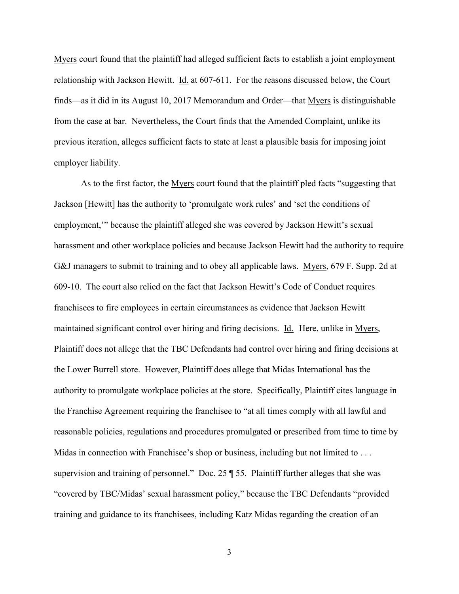Myers court found that the plaintiff had alleged sufficient facts to establish a joint employment relationship with Jackson Hewitt. Id. at 607-611. For the reasons discussed below, the Court finds—as it did in its August 10, 2017 Memorandum and Order—that Myers is distinguishable from the case at bar. Nevertheless, the Court finds that the Amended Complaint, unlike its previous iteration, alleges sufficient facts to state at least a plausible basis for imposing joint employer liability.

As to the first factor, the Myers court found that the plaintiff pled facts "suggesting that Jackson [Hewitt] has the authority to 'promulgate work rules' and 'set the conditions of employment,'" because the plaintiff alleged she was covered by Jackson Hewitt's sexual harassment and other workplace policies and because Jackson Hewitt had the authority to require G&J managers to submit to training and to obey all applicable laws. Myers, 679 F. Supp. 2d at 609-10. The court also relied on the fact that Jackson Hewitt's Code of Conduct requires franchisees to fire employees in certain circumstances as evidence that Jackson Hewitt maintained significant control over hiring and firing decisions. Id. Here, unlike in Myers, Plaintiff does not allege that the TBC Defendants had control over hiring and firing decisions at the Lower Burrell store. However, Plaintiff does allege that Midas International has the authority to promulgate workplace policies at the store. Specifically, Plaintiff cites language in the Franchise Agreement requiring the franchisee to "at all times comply with all lawful and reasonable policies, regulations and procedures promulgated or prescribed from time to time by Midas in connection with Franchisee's shop or business, including but not limited to ... supervision and training of personnel." Doc. 25 ¶ 55. Plaintiff further alleges that she was "covered by TBC/Midas' sexual harassment policy," because the TBC Defendants "provided training and guidance to its franchisees, including Katz Midas regarding the creation of an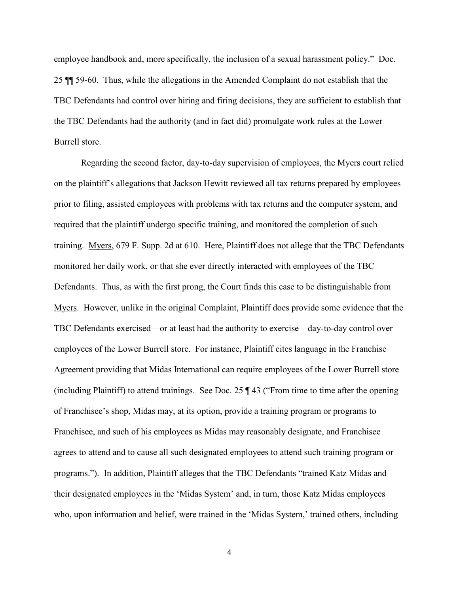employee handbook and, more specifically, the inclusion of a sexual harassment policy." Doc. 25 ¶¶ 59-60. Thus, while the allegations in the Amended Complaint do not establish that the TBC Defendants had control over hiring and firing decisions, they are sufficient to establish that the TBC Defendants had the authority (and in fact did) promulgate work rules at the Lower Burrell store.

Regarding the second factor, day-to-day supervision of employees, the Myers court relied on the plaintiff's allegations that Jackson Hewitt reviewed all tax returns prepared by employees prior to filing, assisted employees with problems with tax returns and the computer system, and required that the plaintiff undergo specific training, and monitored the completion of such training. Myers, 679 F. Supp. 2d at 610. Here, Plaintiff does not allege that the TBC Defendants monitored her daily work, or that she ever directly interacted with employees of the TBC Defendants. Thus, as with the first prong, the Court finds this case to be distinguishable from Myers. However, unlike in the original Complaint, Plaintiff does provide some evidence that the TBC Defendants exercised—or at least had the authority to exercise—day-to-day control over employees of the Lower Burrell store. For instance, Plaintiff cites language in the Franchise Agreement providing that Midas International can require employees of the Lower Burrell store (including Plaintiff) to attend trainings. See Doc. 25 ¶ 43 ("From time to time after the opening of Franchisee's shop, Midas may, at its option, provide a training program or programs to Franchisee, and such of his employees as Midas may reasonably designate, and Franchisee agrees to attend and to cause all such designated employees to attend such training program or programs."). In addition, Plaintiff alleges that the TBC Defendants "trained Katz Midas and their designated employees in the 'Midas System' and, in turn, those Katz Midas employees who, upon information and belief, were trained in the 'Midas System,' trained others, including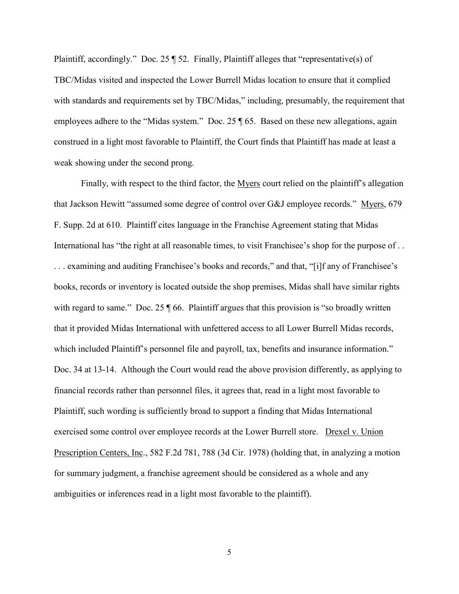Plaintiff, accordingly." Doc. 25 ¶ 52. Finally, Plaintiff alleges that "representative(s) of TBC/Midas visited and inspected the Lower Burrell Midas location to ensure that it complied with standards and requirements set by TBC/Midas," including, presumably, the requirement that employees adhere to the "Midas system." Doc. 25 ¶ 65. Based on these new allegations, again construed in a light most favorable to Plaintiff, the Court finds that Plaintiff has made at least a weak showing under the second prong.

Finally, with respect to the third factor, the Myers court relied on the plaintiff's allegation that Jackson Hewitt "assumed some degree of control over G&J employee records." Myers, 679 F. Supp. 2d at 610. Plaintiff cites language in the Franchise Agreement stating that Midas International has "the right at all reasonable times, to visit Franchisee's shop for the purpose of . . . . . examining and auditing Franchisee's books and records," and that, "[i]f any of Franchisee's books, records or inventory is located outside the shop premises, Midas shall have similar rights with regard to same." Doc. 25  $\sqrt{ }$  66. Plaintiff argues that this provision is "so broadly written that it provided Midas International with unfettered access to all Lower Burrell Midas records, which included Plaintiff's personnel file and payroll, tax, benefits and insurance information." Doc. 34 at 13-14. Although the Court would read the above provision differently, as applying to financial records rather than personnel files, it agrees that, read in a light most favorable to Plaintiff, such wording is sufficiently broad to support a finding that Midas International exercised some control over employee records at the Lower Burrell store. Drexel v. Union Prescription Centers, Inc., 582 F.2d 781, 788 (3d Cir. 1978) (holding that, in analyzing a motion for summary judgment, a franchise agreement should be considered as a whole and any ambiguities or inferences read in a light most favorable to the plaintiff).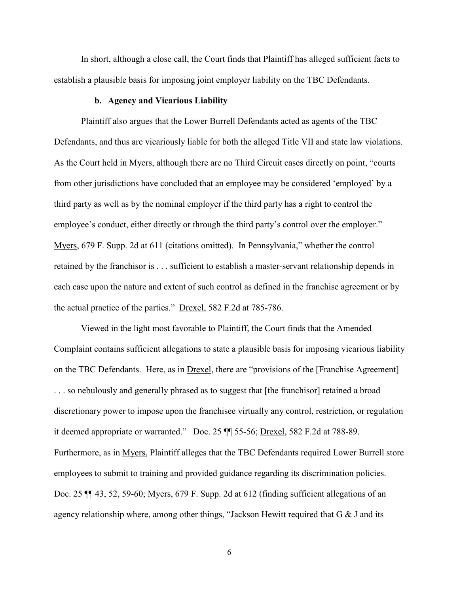In short, although a close call, the Court finds that Plaintiff has alleged sufficient facts to establish a plausible basis for imposing joint employer liability on the TBC Defendants.

# **b. Agency and Vicarious Liability**

Plaintiff also argues that the Lower Burrell Defendants acted as agents of the TBC Defendants, and thus are vicariously liable for both the alleged Title VII and state law violations. As the Court held in Myers, although there are no Third Circuit cases directly on point, "courts from other jurisdictions have concluded that an employee may be considered 'employed' by a third party as well as by the nominal employer if the third party has a right to control the employee's conduct, either directly or through the third party's control over the employer." Myers, 679 F. Supp. 2d at 611 (citations omitted). In Pennsylvania," whether the control retained by the franchisor is . . . sufficient to establish a master-servant relationship depends in each case upon the nature and extent of such control as defined in the franchise agreement or by the actual practice of the parties." Drexel, 582 F.2d at 785-786.

Viewed in the light most favorable to Plaintiff, the Court finds that the Amended Complaint contains sufficient allegations to state a plausible basis for imposing vicarious liability on the TBC Defendants. Here, as in Drexel, there are "provisions of the [Franchise Agreement] . . . so nebulously and generally phrased as to suggest that [the franchisor] retained a broad discretionary power to impose upon the franchisee virtually any control, restriction, or regulation it deemed appropriate or warranted." Doc. 25 ¶¶ 55-56; Drexel, 582 F.2d at 788-89. Furthermore, as in Myers, Plaintiff alleges that the TBC Defendants required Lower Burrell store employees to submit to training and provided guidance regarding its discrimination policies. Doc. 25 ¶¶ 43, 52, 59-60; Myers, 679 F. Supp. 2d at 612 (finding sufficient allegations of an agency relationship where, among other things, "Jackson Hewitt required that G & J and its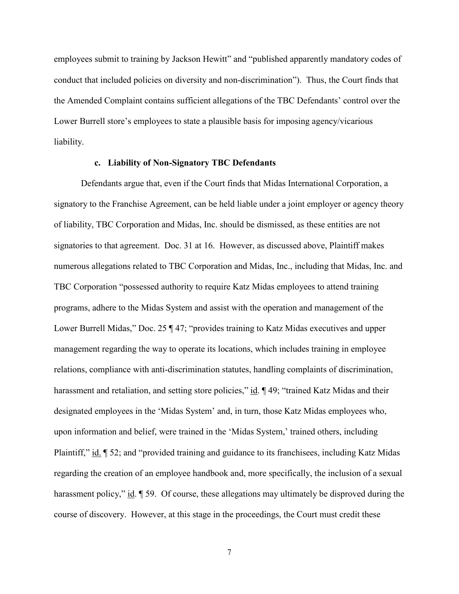employees submit to training by Jackson Hewitt" and "published apparently mandatory codes of conduct that included policies on diversity and non-discrimination"). Thus, the Court finds that the Amended Complaint contains sufficient allegations of the TBC Defendants' control over the Lower Burrell store's employees to state a plausible basis for imposing agency/vicarious liability.

### **c. Liability of Non-Signatory TBC Defendants**

Defendants argue that, even if the Court finds that Midas International Corporation, a signatory to the Franchise Agreement, can be held liable under a joint employer or agency theory of liability, TBC Corporation and Midas, Inc. should be dismissed, as these entities are not signatories to that agreement. Doc. 31 at 16. However, as discussed above, Plaintiff makes numerous allegations related to TBC Corporation and Midas, Inc., including that Midas, Inc. and TBC Corporation "possessed authority to require Katz Midas employees to attend training programs, adhere to the Midas System and assist with the operation and management of the Lower Burrell Midas," Doc. 25 ¶ 47; "provides training to Katz Midas executives and upper management regarding the way to operate its locations, which includes training in employee relations, compliance with anti-discrimination statutes, handling complaints of discrimination, harassment and retaliation, and setting store policies," id.  $\P$  49; "trained Katz Midas and their designated employees in the 'Midas System' and, in turn, those Katz Midas employees who, upon information and belief, were trained in the 'Midas System,' trained others, including Plaintiff," id. ¶ 52; and "provided training and guidance to its franchisees, including Katz Midas regarding the creation of an employee handbook and, more specifically, the inclusion of a sexual harassment policy," id.  $\llbracket$  59. Of course, these allegations may ultimately be disproved during the course of discovery. However, at this stage in the proceedings, the Court must credit these